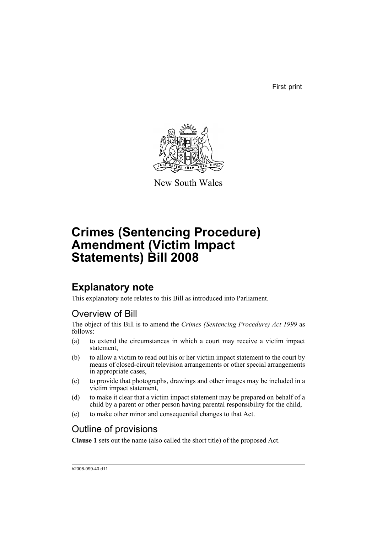First print



New South Wales

# **Crimes (Sentencing Procedure) Amendment (Victim Impact Statements) Bill 2008**

## **Explanatory note**

This explanatory note relates to this Bill as introduced into Parliament.

## Overview of Bill

The object of this Bill is to amend the *Crimes (Sentencing Procedure) Act 1999* as follows:

- (a) to extend the circumstances in which a court may receive a victim impact statement,
- (b) to allow a victim to read out his or her victim impact statement to the court by means of closed-circuit television arrangements or other special arrangements in appropriate cases,
- (c) to provide that photographs, drawings and other images may be included in a victim impact statement,
- (d) to make it clear that a victim impact statement may be prepared on behalf of a child by a parent or other person having parental responsibility for the child,
- (e) to make other minor and consequential changes to that Act.

## Outline of provisions

**Clause 1** sets out the name (also called the short title) of the proposed Act.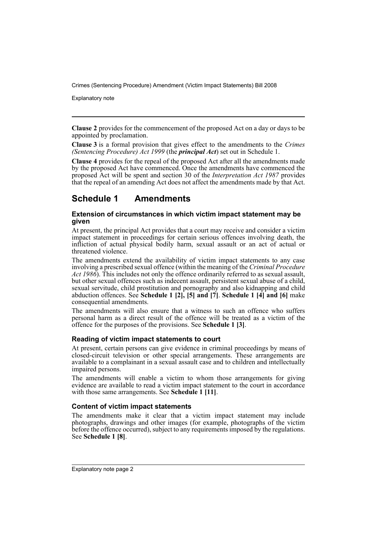Explanatory note

**Clause 2** provides for the commencement of the proposed Act on a day or days to be appointed by proclamation.

**Clause 3** is a formal provision that gives effect to the amendments to the *Crimes (Sentencing Procedure) Act 1999* (the *principal Act*) set out in Schedule 1.

**Clause 4** provides for the repeal of the proposed Act after all the amendments made by the proposed Act have commenced. Once the amendments have commenced the proposed Act will be spent and section 30 of the *Interpretation Act 1987* provides that the repeal of an amending Act does not affect the amendments made by that Act.

### **Schedule 1 Amendments**

#### **Extension of circumstances in which victim impact statement may be given**

At present, the principal Act provides that a court may receive and consider a victim impact statement in proceedings for certain serious offences involving death, the infliction of actual physical bodily harm, sexual assault or an act of actual or threatened violence.

The amendments extend the availability of victim impact statements to any case involving a prescribed sexual offence (within the meaning of the *Criminal Procedure Act 1986*). This includes not only the offence ordinarily referred to as sexual assault, but other sexual offences such as indecent assault, persistent sexual abuse of a child, sexual servitude, child prostitution and pornography and also kidnapping and child abduction offences. See **Schedule 1 [2], [5] and [7]**. **Schedule 1 [4] and [6]** make consequential amendments.

The amendments will also ensure that a witness to such an offence who suffers personal harm as a direct result of the offence will be treated as a victim of the offence for the purposes of the provisions. See **Schedule 1 [3]**.

### **Reading of victim impact statements to court**

At present, certain persons can give evidence in criminal proceedings by means of closed-circuit television or other special arrangements. These arrangements are available to a complainant in a sexual assault case and to children and intellectually impaired persons.

The amendments will enable a victim to whom those arrangements for giving evidence are available to read a victim impact statement to the court in accordance with those same arrangements. See **Schedule 1 [11]**.

### **Content of victim impact statements**

The amendments make it clear that a victim impact statement may include photographs, drawings and other images (for example, photographs of the victim before the offence occurred), subject to any requirements imposed by the regulations. See **Schedule 1 [8]**.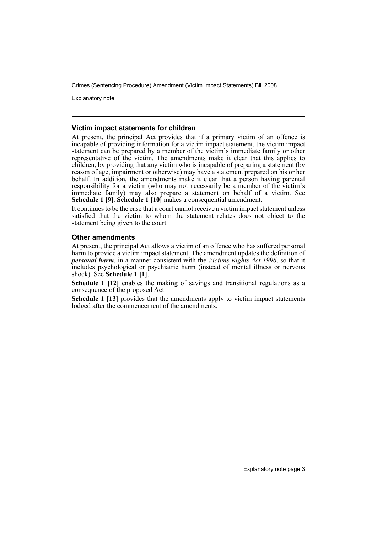Explanatory note

#### **Victim impact statements for children**

At present, the principal Act provides that if a primary victim of an offence is incapable of providing information for a victim impact statement, the victim impact statement can be prepared by a member of the victim's immediate family or other representative of the victim. The amendments make it clear that this applies to children, by providing that any victim who is incapable of preparing a statement (by reason of age, impairment or otherwise) may have a statement prepared on his or her behalf. In addition, the amendments make it clear that a person having parental responsibility for a victim (who may not necessarily be a member of the victim's immediate family) may also prepare a statement on behalf of a victim. See **Schedule 1 [9]**. **Schedule 1 [10]** makes a consequential amendment.

It continues to be the case that a court cannot receive a victim impact statement unless satisfied that the victim to whom the statement relates does not object to the statement being given to the court.

### **Other amendments**

At present, the principal Act allows a victim of an offence who has suffered personal harm to provide a victim impact statement. The amendment updates the definition of *personal harm*, in a manner consistent with the *Victims Rights Act 1996*, so that it includes psychological or psychiatric harm (instead of mental illness or nervous shock). See **Schedule 1 [1]**.

**Schedule 1 [12]** enables the making of savings and transitional regulations as a consequence of the proposed Act.

**Schedule 1 [13]** provides that the amendments apply to victim impact statements lodged after the commencement of the amendments.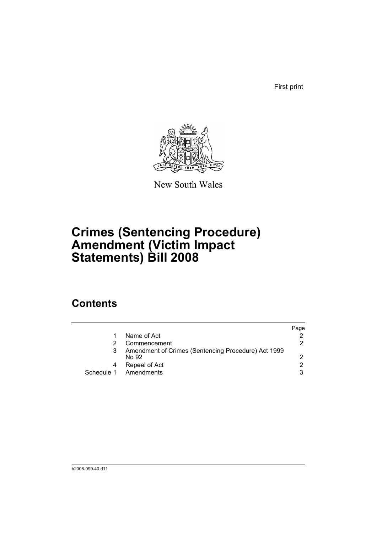First print



New South Wales

# **Crimes (Sentencing Procedure) Amendment (Victim Impact Statements) Bill 2008**

## **Contents**

|   |                                                              | Page          |
|---|--------------------------------------------------------------|---------------|
|   | Name of Act                                                  |               |
|   | Commencement                                                 | 2             |
|   | Amendment of Crimes (Sentencing Procedure) Act 1999<br>No 92 | 2             |
| 4 | Repeal of Act                                                | $\mathcal{P}$ |
|   | Schedule 1 Amendments                                        | 3             |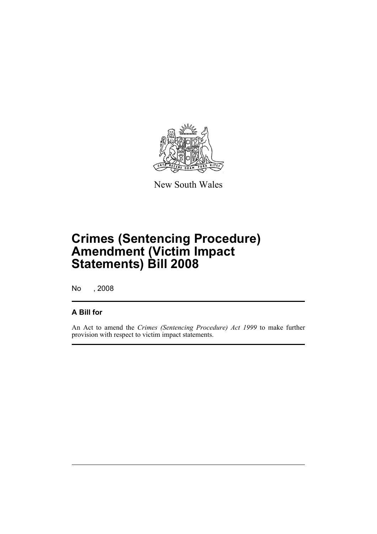

New South Wales

# **Crimes (Sentencing Procedure) Amendment (Victim Impact Statements) Bill 2008**

No , 2008

### **A Bill for**

An Act to amend the *Crimes (Sentencing Procedure) Act 1999* to make further provision with respect to victim impact statements.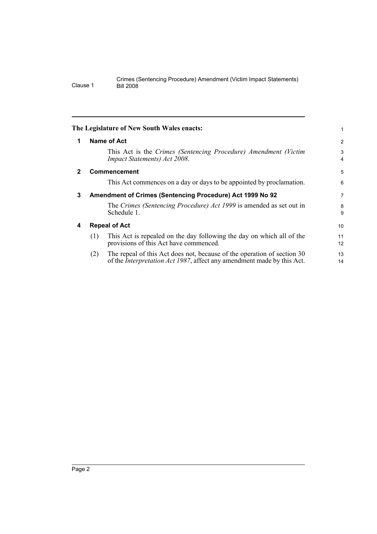<span id="page-7-3"></span><span id="page-7-2"></span><span id="page-7-1"></span><span id="page-7-0"></span>

|              | The Legislature of New South Wales enacts:                                                                                                                       | 1              |
|--------------|------------------------------------------------------------------------------------------------------------------------------------------------------------------|----------------|
| 1            | Name of Act                                                                                                                                                      | $\overline{c}$ |
|              | This Act is the Crimes (Sentencing Procedure) Amendment (Victim<br>Impact Statements) Act 2008.                                                                  | 3<br>4         |
| $\mathbf{2}$ | <b>Commencement</b>                                                                                                                                              | 5              |
|              | This Act commences on a day or days to be appointed by proclamation.                                                                                             | 6              |
| 3            | Amendment of Crimes (Sentencing Procedure) Act 1999 No 92                                                                                                        |                |
|              | The Crimes (Sentencing Procedure) Act 1999 is amended as set out in<br>Schedule 1.                                                                               | 8<br>9         |
| 4            | <b>Repeal of Act</b>                                                                                                                                             |                |
|              | This Act is repealed on the day following the day on which all of the<br>(1)<br>provisions of this Act have commenced.                                           | 11<br>12       |
|              | The repeal of this Act does not, because of the operation of section 30<br>(2)<br>of the <i>Interpretation Act 1987</i> , affect any amendment made by this Act. | 13<br>14       |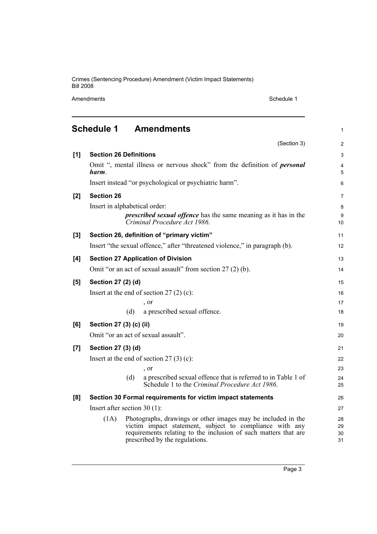Amendments Schedule 1

<span id="page-8-0"></span>

|     | <b>Schedule 1</b>              | <b>Amendments</b>                                                                                                                                                                                                            | $\mathbf{1}$         |
|-----|--------------------------------|------------------------------------------------------------------------------------------------------------------------------------------------------------------------------------------------------------------------------|----------------------|
|     |                                | (Section 3)                                                                                                                                                                                                                  | $\overline{2}$       |
| [1] | <b>Section 26 Definitions</b>  |                                                                                                                                                                                                                              | 3                    |
|     | harm.                          | Omit ", mental illness or nervous shock" from the definition of <i>personal</i>                                                                                                                                              | 4<br>5               |
|     |                                | Insert instead "or psychological or psychiatric harm".                                                                                                                                                                       | 6                    |
| [2] | <b>Section 26</b>              |                                                                                                                                                                                                                              | $\overline{7}$       |
|     |                                | Insert in alphabetical order:<br><i>prescribed sexual offence</i> has the same meaning as it has in the<br>Criminal Procedure Act 1986.                                                                                      | 8<br>9<br>10         |
| [3] |                                | Section 26, definition of "primary victim"                                                                                                                                                                                   | 11                   |
|     |                                | Insert "the sexual offence," after "threatened violence," in paragraph (b).                                                                                                                                                  | 12                   |
| [4] |                                | <b>Section 27 Application of Division</b>                                                                                                                                                                                    | 13                   |
|     |                                | Omit "or an act of sexual assault" from section 27 (2) (b).                                                                                                                                                                  | 14                   |
| [5] | Section 27 (2) (d)             |                                                                                                                                                                                                                              | 15                   |
|     |                                | Insert at the end of section $27(2)(c)$ :                                                                                                                                                                                    | 16                   |
|     |                                | , or                                                                                                                                                                                                                         | 17                   |
|     |                                | a prescribed sexual offence.<br>(d)                                                                                                                                                                                          | 18                   |
| [6] | Section 27 (3) (c) (ii)        |                                                                                                                                                                                                                              | 19                   |
|     |                                | Omit "or an act of sexual assault".                                                                                                                                                                                          | 20                   |
| [7] | Section 27 (3) (d)             |                                                                                                                                                                                                                              | 21                   |
|     |                                | Insert at the end of section $27(3)(c)$ :                                                                                                                                                                                    | 22                   |
|     |                                | , or                                                                                                                                                                                                                         | 23                   |
|     |                                | a prescribed sexual offence that is referred to in Table 1 of<br>(d)<br>Schedule 1 to the Criminal Procedure Act 1986.                                                                                                       | 24<br>25             |
| [8] |                                | Section 30 Formal requirements for victim impact statements                                                                                                                                                                  | 26                   |
|     | Insert after section $30(1)$ : |                                                                                                                                                                                                                              | 27                   |
|     | (1A)                           | Photographs, drawings or other images may be included in the<br>victim impact statement, subject to compliance with any<br>requirements relating to the inclusion of such matters that are<br>prescribed by the regulations. | 28<br>29<br>30<br>31 |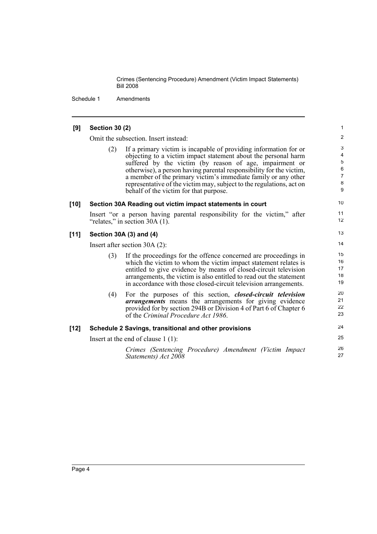Schedule 1 Amendments

### **[9] Section 30 (2)**

Omit the subsection. Insert instead:

(2) If a primary victim is incapable of providing information for or objecting to a victim impact statement about the personal harm suffered by the victim (by reason of age, impairment or otherwise), a person having parental responsibility for the victim, a member of the primary victim's immediate family or any other representative of the victim may, subject to the regulations, act on behalf of the victim for that purpose.

26 27

### **[10] Section 30A Reading out victim impact statements in court**

Insert "or a person having parental responsibility for the victim," after "relates," in section 30A (1).

#### **[11] Section 30A (3) and (4)**

Insert after section 30A (2):

|        | (3) | If the proceedings for the offence concerned are proceedings in<br>which the victim to whom the victim impact statement relates is<br>entitled to give evidence by means of closed-circuit television<br>arrangements, the victim is also entitled to read out the statement<br>in accordance with those closed-circuit television arrangements. | 15<br>16<br>17<br>18<br>19 |
|--------|-----|--------------------------------------------------------------------------------------------------------------------------------------------------------------------------------------------------------------------------------------------------------------------------------------------------------------------------------------------------|----------------------------|
|        | (4) | For the purposes of this section, <i>closed-circuit television</i><br><i>arrangements</i> means the arrangements for giving evidence<br>provided for by section 294B or Division 4 of Part 6 of Chapter 6<br>of the Criminal Procedure Act 1986.                                                                                                 | 20<br>21<br>22<br>23       |
| $[12]$ |     | Schedule 2 Savings, transitional and other provisions                                                                                                                                                                                                                                                                                            | 24                         |
|        |     | Insert at the end of clause $1(1)$ :                                                                                                                                                                                                                                                                                                             | 25                         |
|        |     |                                                                                                                                                                                                                                                                                                                                                  |                            |

*Crimes (Sentencing Procedure) Amendment (Victim Impact Statements) Act 2008*